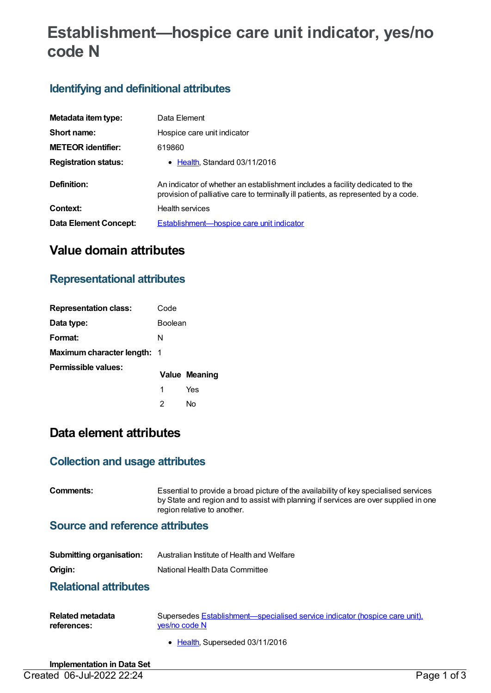# **Establishment—hospice care unit indicator, yes/no code N**

### **Identifying and definitional attributes**

| Metadata item type:         | Data Element                                                                                                                                                        |
|-----------------------------|---------------------------------------------------------------------------------------------------------------------------------------------------------------------|
| Short name:                 | Hospice care unit indicator                                                                                                                                         |
| <b>METEOR identifier:</b>   | 619860                                                                                                                                                              |
| <b>Registration status:</b> | • Health, Standard 03/11/2016                                                                                                                                       |
| Definition:                 | An indicator of whether an establishment includes a facility dedicated to the<br>provision of palliative care to terminally ill patients, as represented by a code. |
| Context:                    | Health services                                                                                                                                                     |
| Data Element Concept:       | Establishment—hospice care unit indicator                                                                                                                           |

# **Value domain attributes**

### **Representational attributes**

| <b>Representation class:</b>       | Code           |                      |
|------------------------------------|----------------|----------------------|
| Data type:                         | <b>Boolean</b> |                      |
| Format:                            | N              |                      |
| <b>Maximum character length: 1</b> |                |                      |
| Permissible values:                |                | <b>Value Meaning</b> |
|                                    | 1              | Yes                  |
|                                    | 2              | N٥                   |

# **Data element attributes**

#### **Collection and usage attributes**

**Comments:** Essential to provide a broad picture of the availability of key specialised services by State and region and to assist with planning if services are over supplied in one region relative to another.

#### **Source and reference attributes**

| <b>Submitting organisation:</b> | Australian Institute of Health and Welfare |
|---------------------------------|--------------------------------------------|
| Origin:                         | National Health Data Committee             |

#### **Relational attributes**

| <b>Related metadata</b> | Supersedes Establishment—specialised service indicator (hospice care unit), |
|-------------------------|-----------------------------------------------------------------------------|
| references:             | ves/no code N                                                               |

• [Health](https://meteor.aihw.gov.au/RegistrationAuthority/12), Superseded 03/11/2016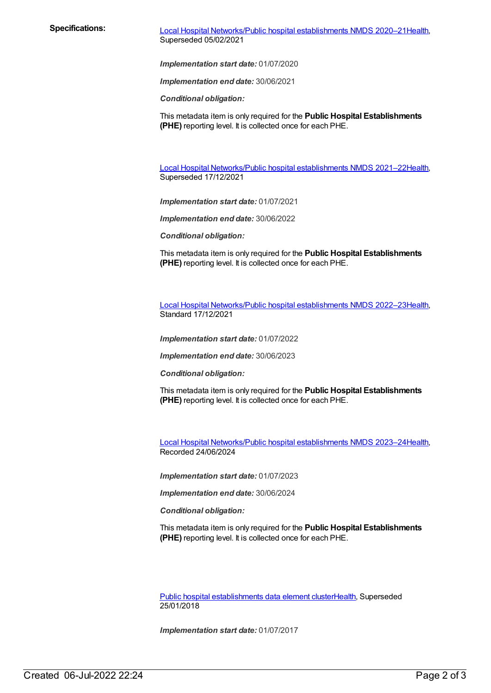**Specifications:** Local Hospital [Networks/Public](https://meteor.aihw.gov.au/content/713848) hospital establishments NMDS 2020–21[Health](https://meteor.aihw.gov.au/RegistrationAuthority/12), Superseded 05/02/2021

*Implementation start date:* 01/07/2020

*Implementation end date:* 30/06/2021

*Conditional obligation:*

This metadata item is only required for the **Public Hospital Establishments (PHE)** reporting level. It is collected once for each PHE.

Local Hospital [Networks/Public](https://meteor.aihw.gov.au/content/727356) hospital establishments NMDS 2021–22[Health](https://meteor.aihw.gov.au/RegistrationAuthority/12), Superseded 17/12/2021

*Implementation start date:* 01/07/2021

*Implementation end date:* 30/06/2022

*Conditional obligation:*

This metadata item is only required for the **Public Hospital Establishments (PHE)** reporting level. It is collected once for each PHE.

Local Hospital [Networks/Public](https://meteor.aihw.gov.au/content/742044) hospital establishments NMDS 2022–23[Health](https://meteor.aihw.gov.au/RegistrationAuthority/12), Standard 17/12/2021

*Implementation start date:* 01/07/2022

*Implementation end date:* 30/06/2023

*Conditional obligation:*

This metadata item is only required for the **Public Hospital Establishments (PHE)** reporting level. It is collected once for each PHE.

Local Hospital [Networks/Public](https://meteor.aihw.gov.au/content/756101) hospital establishments NMDS 2023–24[Health](https://meteor.aihw.gov.au/RegistrationAuthority/12), Recorded 24/06/2024

*Implementation start date:* 01/07/2023

*Implementation end date:* 30/06/2024

*Conditional obligation:*

This metadata item is only required for the **Public Hospital Establishments (PHE)** reporting level. It is collected once for each PHE.

Public hospital [establishments](https://meteor.aihw.gov.au/content/643172) data element cluste[rHealth](https://meteor.aihw.gov.au/RegistrationAuthority/12), Superseded 25/01/2018

*Implementation start date:* 01/07/2017